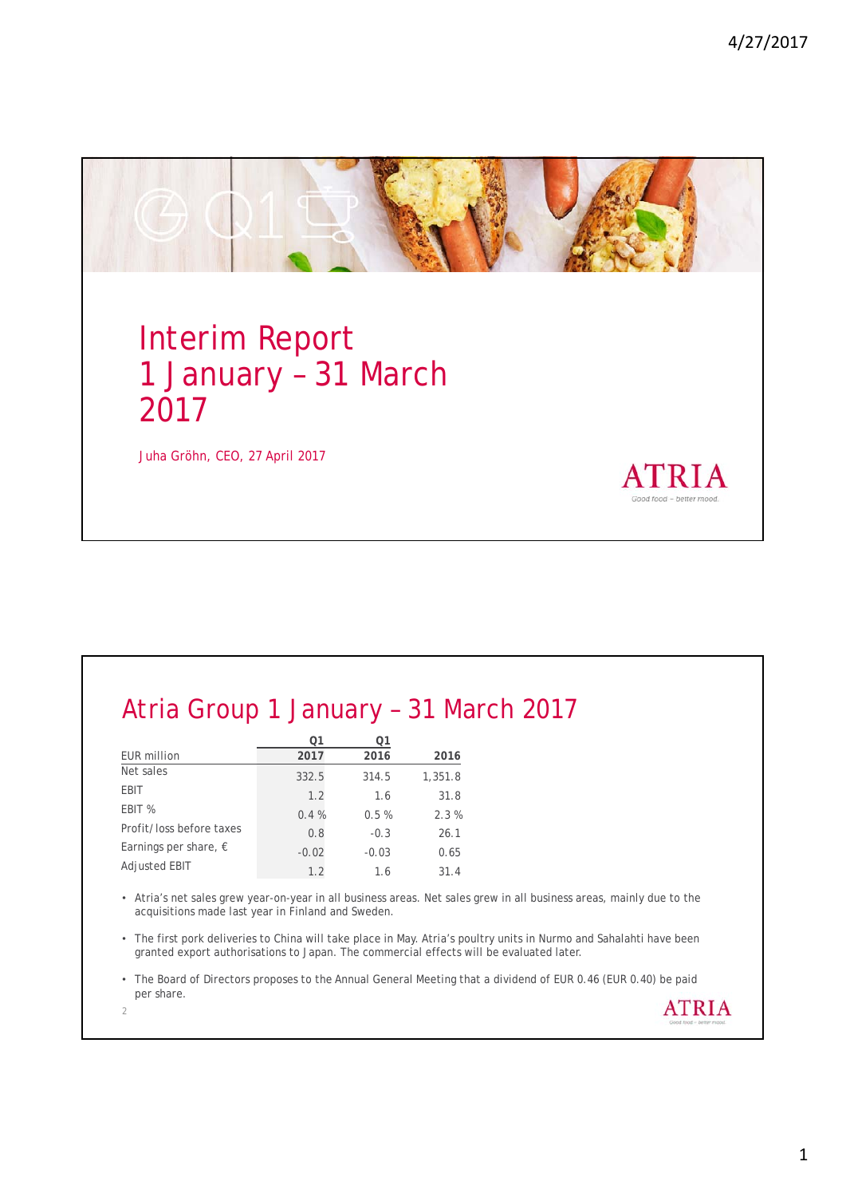

# Atria Group 1 January – 31 March 2017

|                                | Ο1      | Ο1      |         |
|--------------------------------|---------|---------|---------|
| EUR million                    | 2017    | 2016    | 2016    |
| Net sales                      | 332.5   | 314.5   | 1,351.8 |
| EBIT                           | 1.2     | 1.6     | 31.8    |
| EBIT %                         | 0.4%    | 0.5%    | 2.3%    |
| Profit/loss before taxes       | 0.8     | $-0.3$  | 26.1    |
| Earnings per share, $\epsilon$ | $-0.02$ | $-0.03$ | 0.65    |
| <b>Adjusted EBIT</b>           | 1.2     | 1.6     | 31.4    |

• Atria's net sales grew year-on-year in all business areas. Net sales grew in all business areas, mainly due to the acquisitions made last year in Finland and Sweden.

• The first pork deliveries to China will take place in May. Atria's poultry units in Nurmo and Sahalahti have been granted export authorisations to Japan. The commercial effects will be evaluated later.

• The Board of Directors proposes to the Annual General Meeting that a dividend of EUR 0.46 (EUR 0.40) be paid per share. **ATRIA**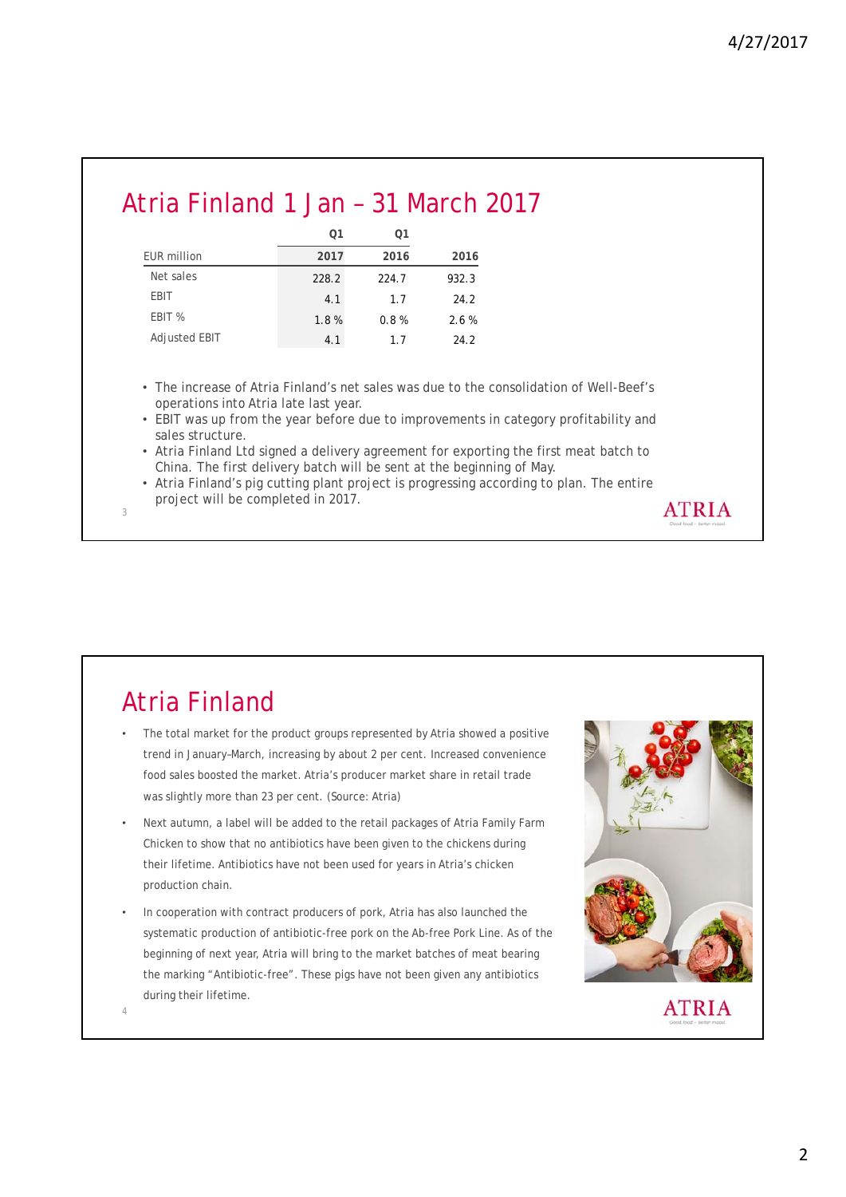### Atria Finland 1 Jan – 31 March 2017

|               | Ο1    | Ο1    |       |
|---------------|-------|-------|-------|
| EUR million   | 2017  | 2016  | 2016  |
| Net sales     | 228.2 | 224.7 | 932.3 |
| <b>EBIT</b>   | 4.1   | 1.7   | 24.2  |
| EBIT %        | 1.8%  | 0.8%  | 2.6%  |
| Adjusted EBIT | 4.1   | 1.7   | 24.2  |

• The increase of Atria Finland's net sales was due to the consolidation of Well-Beef's operations into Atria late last year.

• EBIT was up from the year before due to improvements in category profitability and sales structure.

• Atria Finland Ltd signed a delivery agreement for exporting the first meat batch to China. The first delivery batch will be sent at the beginning of May.

• Atria Finland's pig cutting plant project is progressing according to plan. The entire project will be completed in 2017.

#### Atria Finland

- The total market for the product groups represented by Atria showed a positive trend in January–March, increasing by about 2 per cent. Increased convenience food sales boosted the market. Atria's producer market share in retail trade was slightly more than 23 per cent. (Source: Atria)
- Next autumn, a label will be added to the retail packages of Atria Family Farm Chicken to show that no antibiotics have been given to the chickens during their lifetime. Antibiotics have not been used for years in Atria's chicken production chain.
- In cooperation with contract producers of pork, Atria has also launched the systematic production of antibiotic-free pork on the Ab-free Pork Line. As of the beginning of next year, Atria will bring to the market batches of meat bearing the marking "Antibiotic-free". These pigs have not been given any antibiotics during their lifetime.



**ATRIA**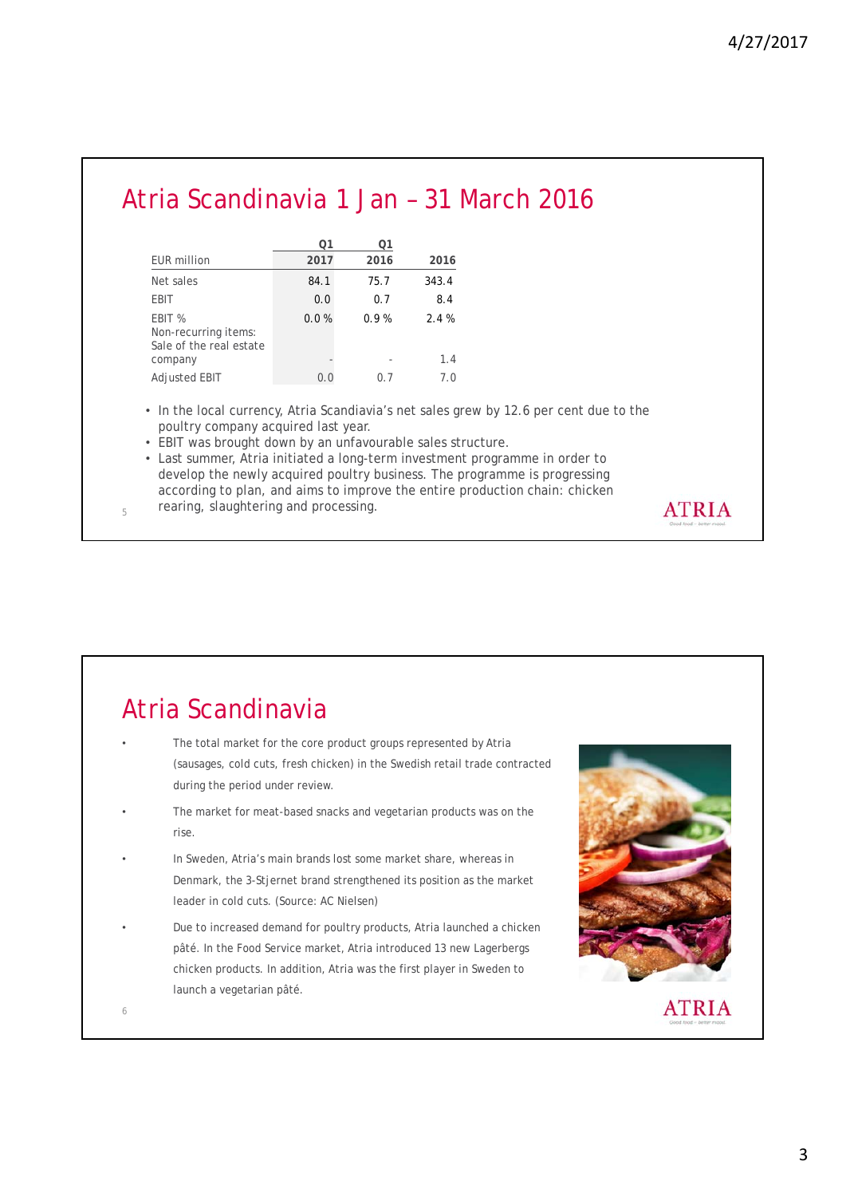## Atria Scandinavia 1 Jan – 31 March 2016

|                                                           | Ο1   | Ο1   |       |
|-----------------------------------------------------------|------|------|-------|
| <b>EUR</b> million                                        | 2017 | 2016 | 2016  |
| Net sales                                                 | 84.1 | 75.7 | 343.4 |
| EBIT                                                      | 0.0  | 0.7  | 8.4   |
| EBIT %<br>Non-recurring items:<br>Sale of the real estate | 0.0% | 0.9% | 2.4 % |
| company                                                   |      |      | 1.4   |
| Adjusted EBIT                                             | 0.0  | 0.7  | 7.0   |

• In the local currency, Atria Scandiavia's net sales grew by 12.6 per cent due to the poultry company acquired last year.

• EBIT was brought down by an unfavourable sales structure.

• Last summer, Atria initiated a long-term investment programme in order to develop the newly acquired poultry business. The programme is progressing according to plan, and aims to improve the entire production chain: chicken  $r_{5}$  rearing, slaughtering and processing.

# Atria Scandinavia

- The total market for the core product groups represented by Atria (sausages, cold cuts, fresh chicken) in the Swedish retail trade contracted during the period under review.
- The market for meat-based snacks and vegetarian products was on the rise.
- In Sweden, Atria's main brands lost some market share, whereas in Denmark, the 3-Stjernet brand strengthened its position as the market leader in cold cuts. (Source: AC Nielsen)
- Due to increased demand for poultry products, Atria launched a chicken pâté. In the Food Service market, Atria introduced 13 new Lagerbergs chicken products. In addition, Atria was the first player in Sweden to launch a vegetarian pâté.

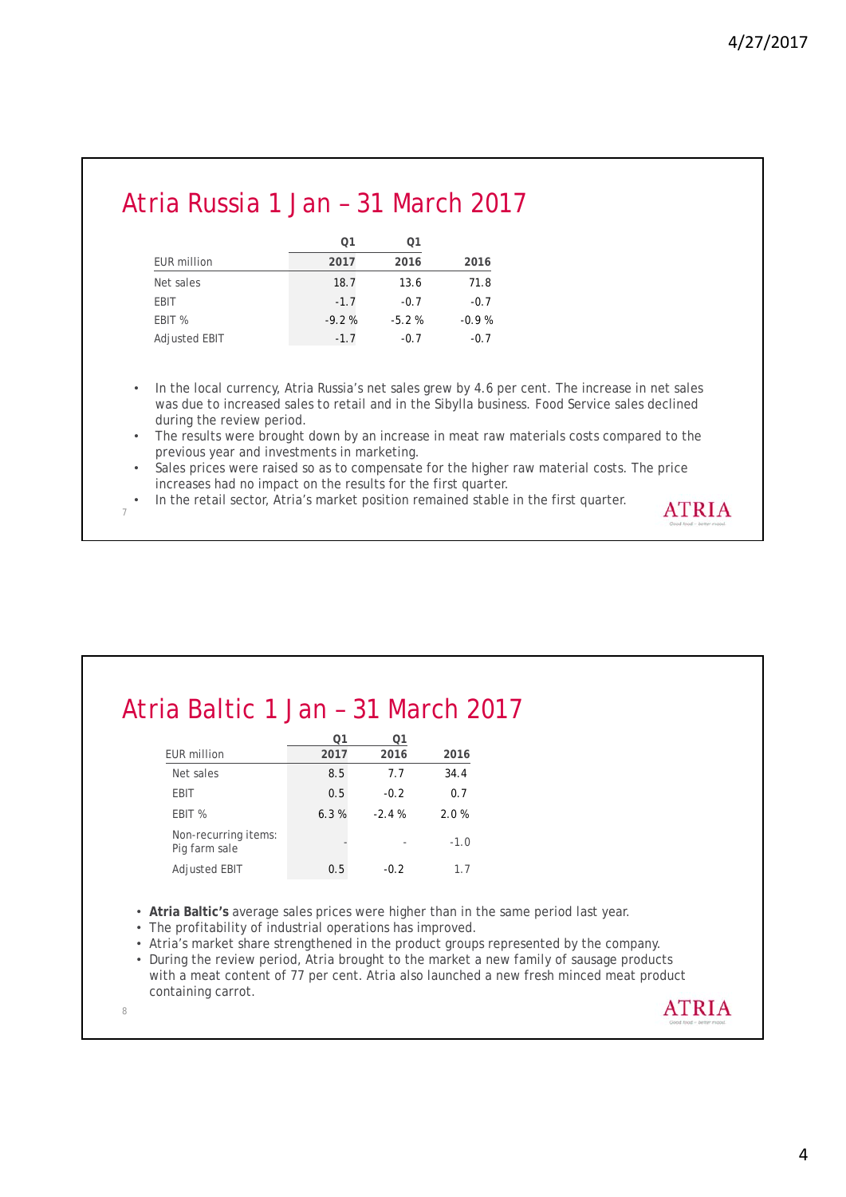**ATRIA** 

## Atria Russia 1 Jan – 31 March 2017

|                      | Ο1      | Ο1      |         |
|----------------------|---------|---------|---------|
| <b>EUR</b> million   | 2017    | 2016    | 2016    |
| Net sales            | 18.7    | 13.6    | 71.8    |
| <b>EBIT</b>          | $-1.7$  | $-0.7$  | $-0.7$  |
| EBIT %               | $-9.2%$ | $-5.2%$ | $-0.9%$ |
| <b>Adjusted EBIT</b> | $-1.7$  | $-0.7$  | -0.7    |

• In the local currency, Atria Russia's net sales grew by 4.6 per cent. The increase in net sales was due to increased sales to retail and in the Sibylla business. Food Service sales declined during the review period.

The results were brought down by an increase in meat raw materials costs compared to the previous year and investments in marketing.

- Sales prices were raised so as to compensate for the higher raw material costs. The price increases had no impact on the results for the first quarter.
- In the retail sector, Atria's market position remained stable in the first quarter. 7

# Atria Baltic 1 Jan – 31 March 2017

|                                       | ∩1   | Ο1      |        |
|---------------------------------------|------|---------|--------|
| <b>EUR million</b>                    | 2017 | 2016    | 2016   |
| Net sales                             | 8.5  | 7.7     | 34.4   |
| EBIT                                  | 0.5  | $-0.2$  | 0.7    |
| EBIT %                                | 6.3% | $-2.4%$ | 2.0%   |
| Non-recurring items:<br>Pig farm sale |      |         | $-1.0$ |
| <b>Adjusted EBIT</b>                  | 0.5  | $-0.2$  | 1.7    |

• **Atria Baltic's** average sales prices were higher than in the same period last year.

- The profitability of industrial operations has improved.
- Atria's market share strengthened in the product groups represented by the company.
- During the review period, Atria brought to the market a new family of sausage products with a meat content of 77 per cent. Atria also launched a new fresh minced meat product containing carrot. **ATRIA**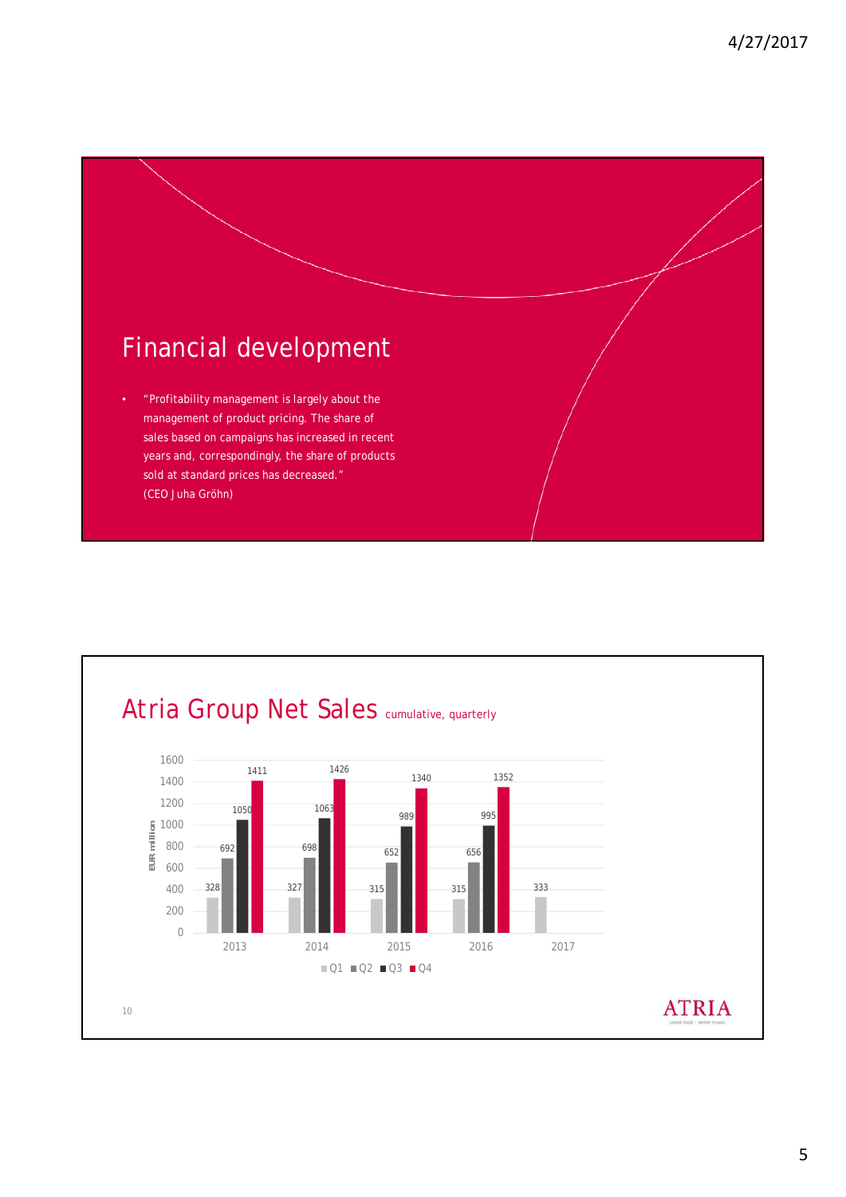

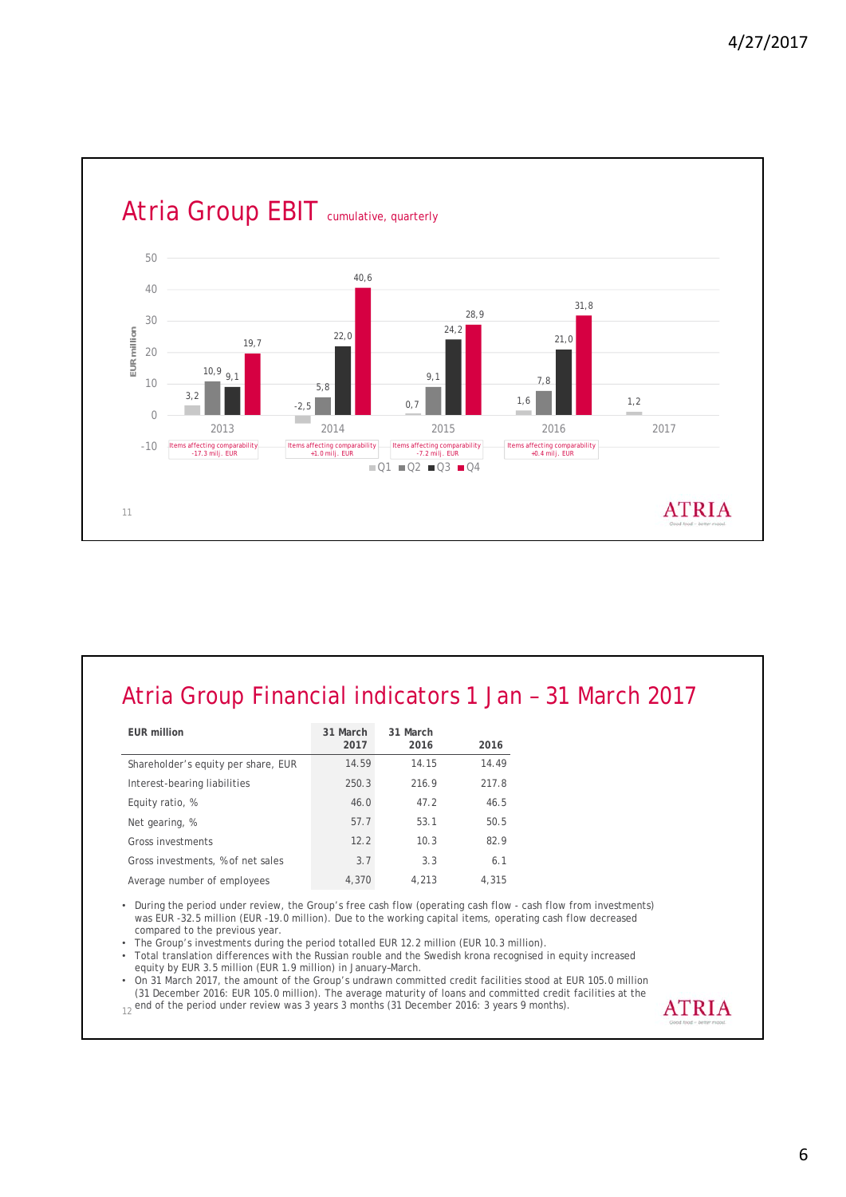

### Atria Group Financial indicators 1 Jan – 31 March 2017

| <b>EUR million</b>                  | 31 March<br>2017 | 31 March<br>2016 | 2016  |
|-------------------------------------|------------------|------------------|-------|
| Shareholder's equity per share, EUR | 14.59            | 14.15            | 14.49 |
| Interest-bearing liabilities        | 250.3            | 216.9            | 217.8 |
| Equity ratio, %                     | 46.0             | 47.2             | 46.5  |
| Net gearing, %                      | 57.7             | 53.1             | 50.5  |
| Gross investments                   | 12.2             | 10.3             | 82.9  |
| Gross investments, % of net sales   | 3.7              | 3.3              | 6.1   |
| Average number of employees         | 4.370            | 4.213            | 4.315 |

• During the period under review, the Group's free cash flow (operating cash flow - cash flow from investments) was EUR -32.5 million (EUR -19.0 million). Due to the working capital items, operating cash flow decreased compared to the previous year.

• The Group's investments during the period totalled EUR 12.2 million (EUR 10.3 million).

• Total translation differences with the Russian rouble and the Swedish krona recognised in equity increased equity by EUR 3.5 million (EUR 1.9 million) in January–March.

• On 31 March 2017, the amount of the Group's undrawn committed credit facilities stood at EUR 105.0 million (31 December 2016: EUR 105.0 million). The average maturity of loans and committed credit facilities at the

end of the period under review was 3 years 3 months (31 December 2016: 3 years 9 months).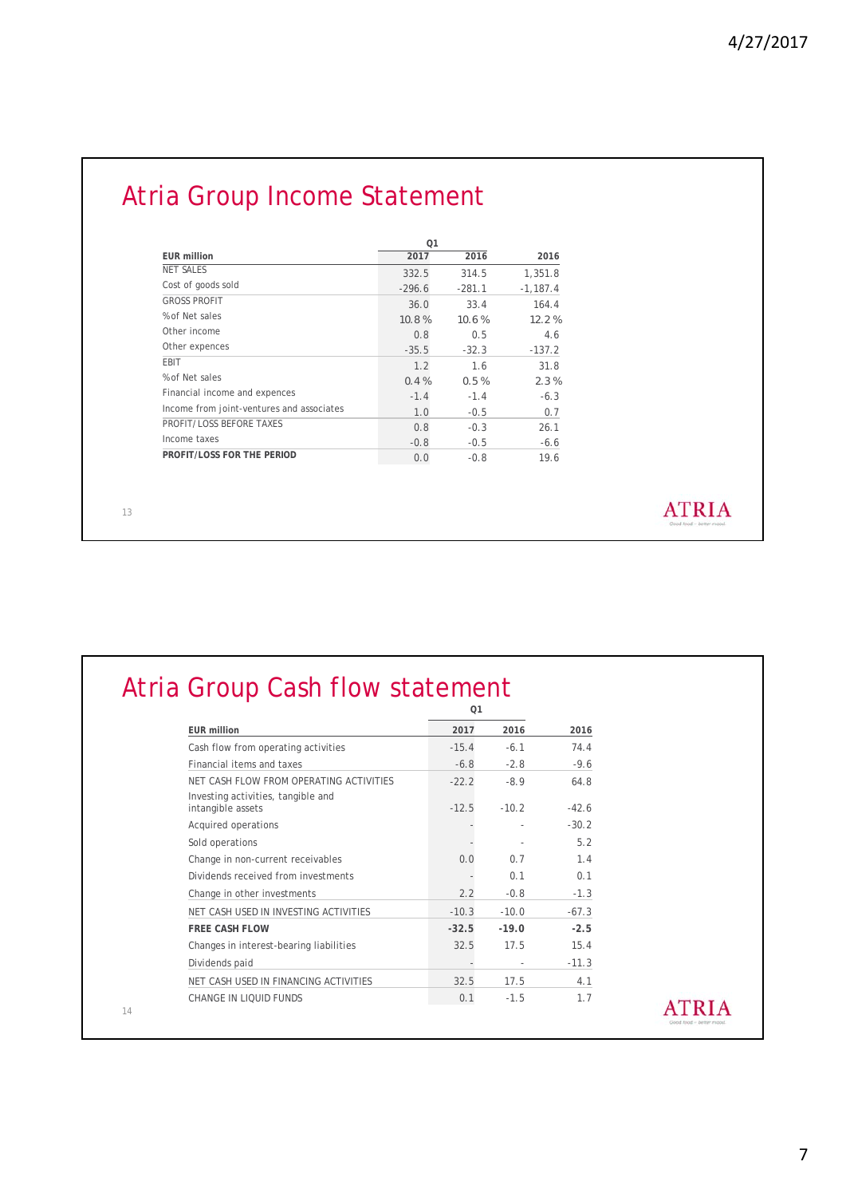# Atria Group Income Statement

|                                           | Q <sub>1</sub> |          |            |
|-------------------------------------------|----------------|----------|------------|
| <b>EUR</b> million                        | 2017           | 2016     | 2016       |
| <b>NET SALES</b>                          | 332.5          | 314.5    | 1,351.8    |
| Cost of goods sold                        | $-296.6$       | $-281.1$ | $-1.187.4$ |
| <b>GROSS PROFIT</b>                       | 36.0           | 33.4     | 164.4      |
| % of Net sales                            | 10.8%          | 10.6%    | 12.2%      |
| Other income                              | 0.8            | 0.5      | 4.6        |
| Other expences                            | $-35.5$        | $-32.3$  | $-137.2$   |
| EBIT                                      | 1.2            | 1.6      | 31.8       |
| % of Net sales                            | 0.4%           | 0.5%     | 2.3%       |
| Financial income and expences             | $-1.4$         | $-1.4$   | $-6.3$     |
| Income from joint-ventures and associates | 1.0            | $-0.5$   | 0.7        |
| PROFIT/LOSS BEFORE TAXES                  | 0.8            | $-0.3$   | 26.1       |
| Income taxes                              | $-0.8$         | $-0.5$   | $-6.6$     |
| PROFIT/LOSS FOR THE PERIOD                | 0.0            | $-0.8$   | 19.6       |

13

#### **ATRIA**

#### Atria Group Cash flow statement

|                                                         | 01             |         |         |
|---------------------------------------------------------|----------------|---------|---------|
| <b>EUR million</b>                                      | 2017           | 2016    | 2016    |
| Cash flow from operating activities                     | $-15.4$        | $-6.1$  | 74.4    |
| Financial items and taxes                               | $-6.8$         | $-2.8$  | $-9.6$  |
| NET CASH FLOW FROM OPERATING ACTIVITIES                 | $-22.2$        | $-8.9$  | 64.8    |
| Investing activities, tangible and<br>intangible assets | $-12.5$        | $-10.2$ | $-42.6$ |
| Acquired operations                                     |                |         | $-30.2$ |
| Sold operations                                         |                |         | 5.2     |
| Change in non-current receivables                       | 0 <sub>0</sub> | 0.7     | 1.4     |
| Dividends received from investments                     |                | 0.1     | 0.1     |
| Change in other investments                             | 2.2            | $-0.8$  | $-1.3$  |
| NET CASH USED IN INVESTING ACTIVITIES                   | $-10.3$        | $-10.0$ | $-67.3$ |
| <b>FREE CASH FLOW</b>                                   | $-32.5$        | $-19.0$ | $-2.5$  |
| Changes in interest-bearing liabilities                 | 32.5           | 17.5    | 15.4    |
| Dividends paid                                          |                |         | $-11.3$ |
| NET CASH USED IN FINANCING ACTIVITIES                   | 32.5           | 17.5    | 4.1     |
| CHANGE IN LIOUID FUNDS                                  | 0.1            | $-1.5$  | 1.7     |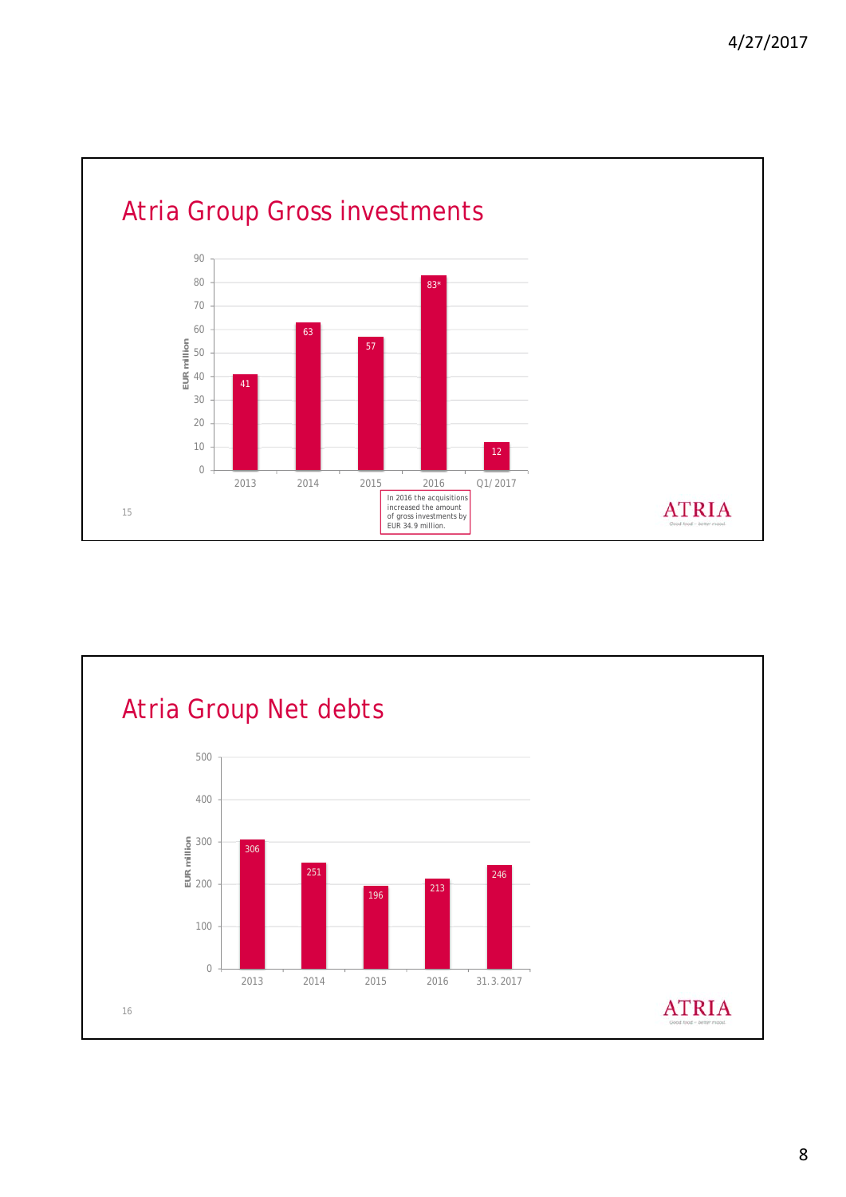

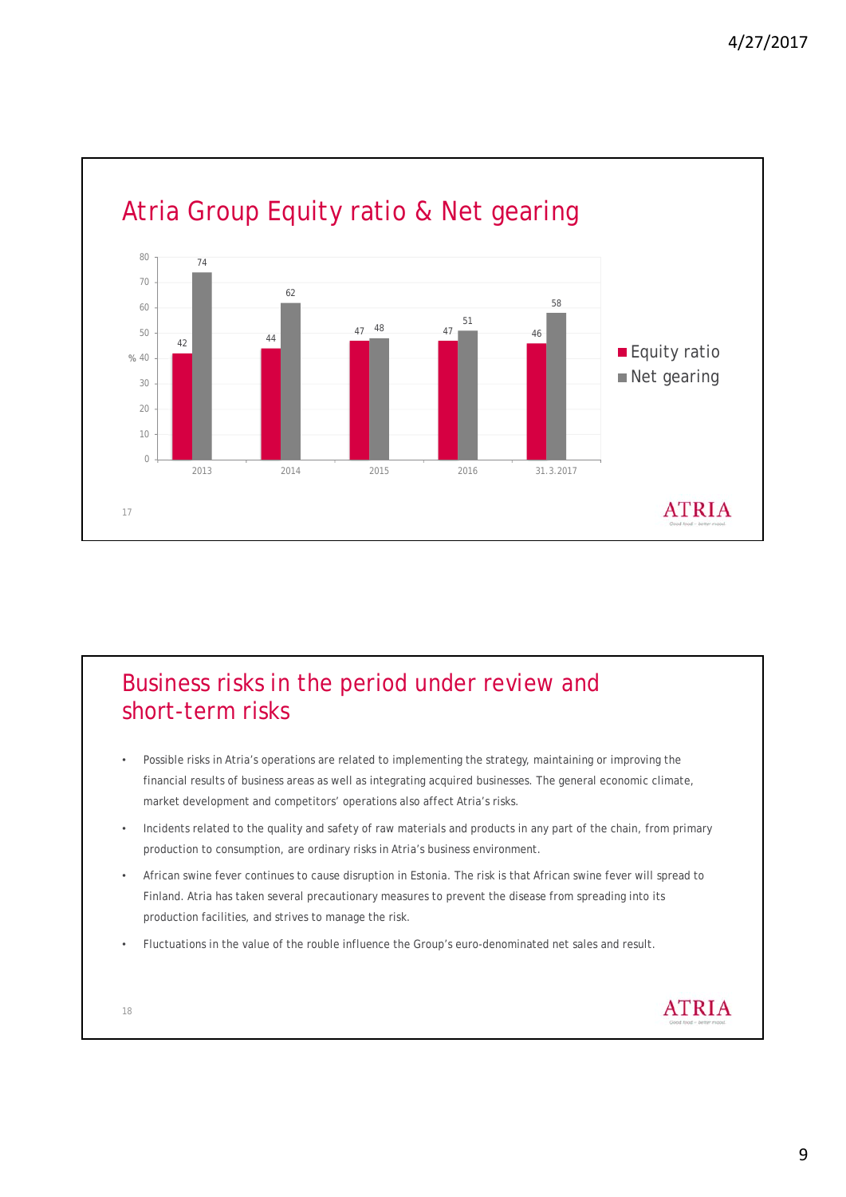

#### Business risks in the period under review and short-term risks

- Possible risks in Atria's operations are related to implementing the strategy, maintaining or improving the financial results of business areas as well as integrating acquired businesses. The general economic climate, market development and competitors' operations also affect Atria's risks.
- Incidents related to the quality and safety of raw materials and products in any part of the chain, from primary production to consumption, are ordinary risks in Atria's business environment.
- African swine fever continues to cause disruption in Estonia. The risk is that African swine fever will spread to Finland. Atria has taken several precautionary measures to prevent the disease from spreading into its production facilities, and strives to manage the risk.
- Fluctuations in the value of the rouble influence the Group's euro-denominated net sales and result.

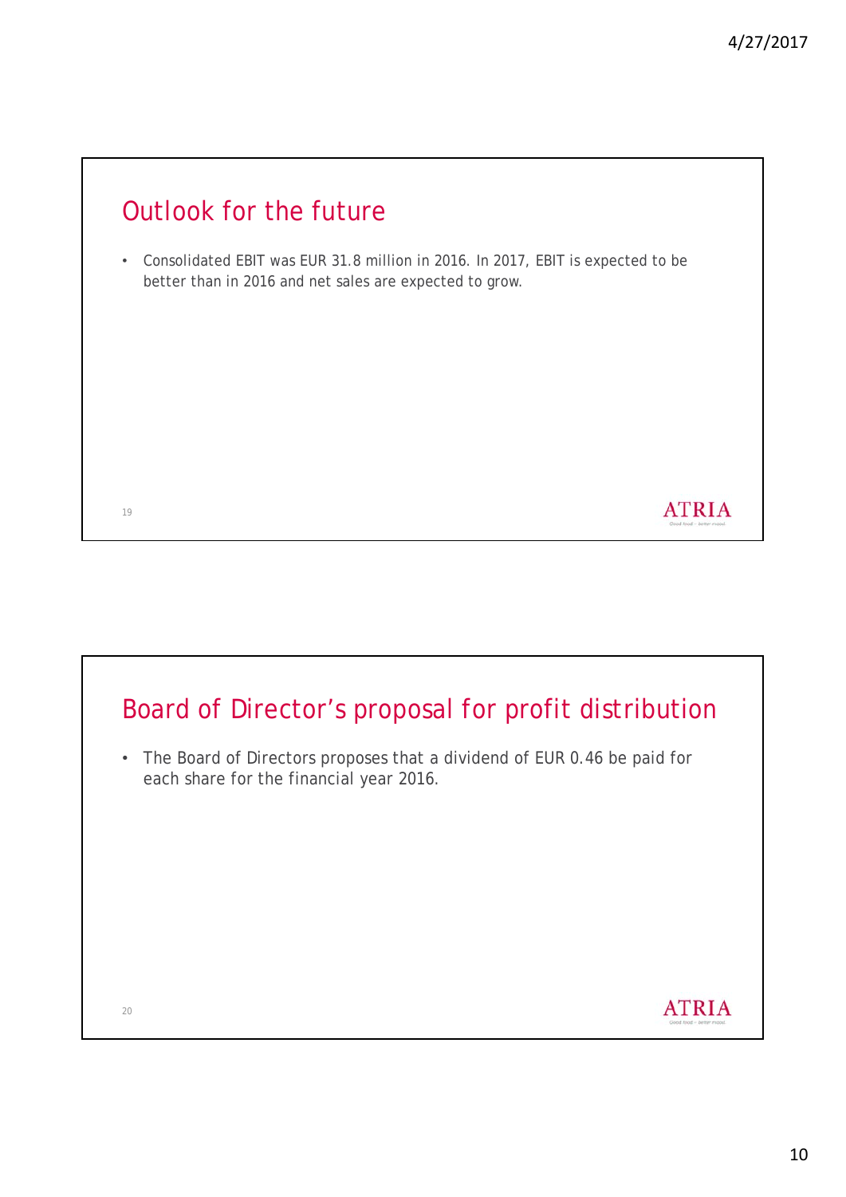